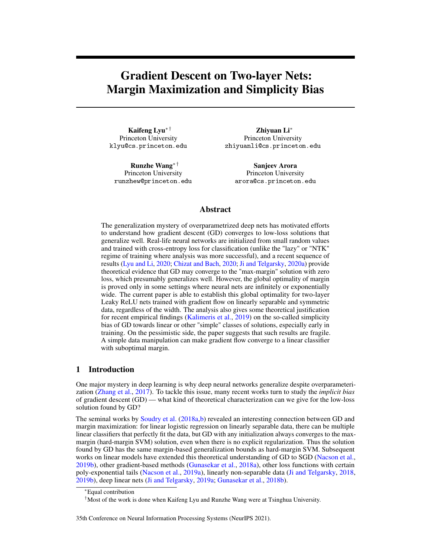# Gradient Descent on Two-layer Nets: Margin Maximization and Simplicity Bias

Kaifeng Lyu∗ † Princeton University klyu@cs.princeton.edu

Runzhe Wang∗ † Princeton University runzhew@princeton.edu

Zhiyuan Li<sup>∗</sup> Princeton University zhiyuanli@cs.princeton.edu

Sanjeev Arora Princeton University arora@cs.princeton.edu

# Abstract

The generalization mystery of overparametrized deep nets has motivated efforts to understand how gradient descent (GD) converges to low-loss solutions that generalize well. Real-life neural networks are initialized from small random values and trained with cross-entropy loss for classification (unlike the "lazy" or "NTK" regime of training where analysis was more successful), and a recent sequence of results [\(Lyu and Li,](#page-12-0) [2020;](#page-12-0) [Chizat and Bach,](#page-10-0) [2020;](#page-10-0) [Ji and Telgarsky,](#page-12-1) [2020a\)](#page-12-1) provide theoretical evidence that GD may converge to the "max-margin" solution with zero loss, which presumably generalizes well. However, the global optimality of margin is proved only in some settings where neural nets are infinitely or exponentially wide. The current paper is able to establish this global optimality for two-layer Leaky ReLU nets trained with gradient flow on linearly separable and symmetric data, regardless of the width. The analysis also gives some theoretical justification for recent empirical findings [\(Kalimeris et al.,](#page-12-2) [2019\)](#page-12-2) on the so-called simplicity bias of GD towards linear or other "simple" classes of solutions, especially early in training. On the pessimistic side, the paper suggests that such results are fragile. A simple data manipulation can make gradient flow converge to a linear classifier with suboptimal margin.

# 1 Introduction

One major mystery in deep learning is why deep neural networks generalize despite overparameterization [\(Zhang et al.,](#page-13-0) [2017\)](#page-13-0). To tackle this issue, many recent works turn to study the *implicit bias* of gradient descent (GD) — what kind of theoretical characterization can we give for the low-loss solution found by GD?

The seminal works by [Soudry et al.](#page-13-1) [\(2018a](#page-13-1)[,b\)](#page-13-2) revealed an interesting connection between GD and margin maximization: for linear logistic regression on linearly separable data, there can be multiple linear classifiers that perfectly fit the data, but GD with any initialization always converges to the maxmargin (hard-margin SVM) solution, even when there is no explicit regularization. Thus the solution found by GD has the same margin-based generalization bounds as hard-margin SVM. Subsequent works on linear models have extended this theoretical understanding of GD to SGD [\(Nacson et al.,](#page-12-3) [2019b\)](#page-12-3), other gradient-based methods [\(Gunasekar et al.,](#page-11-0) [2018a\)](#page-11-0), other loss functions with certain poly-exponential tails [\(Nacson et al.,](#page-12-4) [2019a\)](#page-12-4), linearly non-separable data [\(Ji and Telgarsky,](#page-11-1) [2018,](#page-11-1) [2019b\)](#page-11-2), deep linear nets [\(Ji and Telgarsky,](#page-11-3) [2019a;](#page-11-3) [Gunasekar et al.,](#page-11-4) [2018b\)](#page-11-4).

#### 35th Conference on Neural Information Processing Systems (NeurIPS 2021).

<sup>∗</sup>Equal contribution

<sup>&</sup>lt;sup>†</sup>Most of the work is done when Kaifeng Lyu and Runzhe Wang were at Tsinghua University.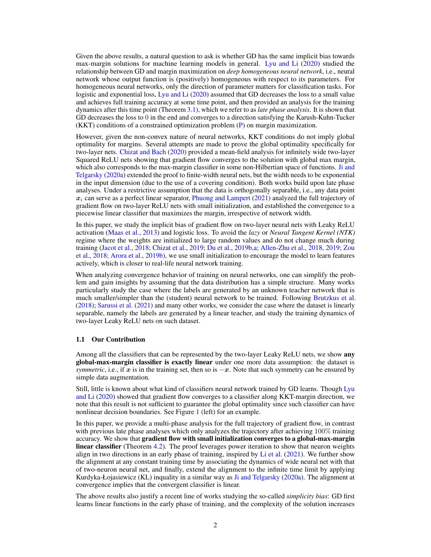Given the above results, a natural question to ask is whether GD has the same implicit bias towards max-margin solutions for machine learning models in general. [Lyu and Li](#page-12-0) [\(2020\)](#page-12-0) studied the relationship between GD and margin maximization on *deep homogeneous neural network*, i.e., neural network whose output function is (positively) homogeneous with respect to its parameters. For homogeneous neural networks, only the direction of parameter matters for classification tasks. For logistic and exponential loss, [Lyu and Li](#page-12-0) [\(2020\)](#page-12-0) assumed that GD decreases the loss to a small value and achieves full training accuracy at some time point, and then provided an analysis for the training dynamics after this time point (Theorem [3.1\)](#page-4-0), which we refer to as *late phase analysis*. It is shown that GD decreases the loss to 0 in the end and converges to a direction satisfying the Karush-Kuhn-Tucker (KKT) conditions of a constrained optimization problem [\(P\)](#page-4-1) on margin maximization.

However, given the non-convex nature of neural networks, KKT conditions do not imply global optimality for margins. Several attempts are made to prove the global optimality specifically for two-layer nets. [Chizat and Bach](#page-10-0) [\(2020\)](#page-10-0) provided a mean-field analysis for infinitely wide two-layer Squared ReLU nets showing that gradient flow converges to the solution with global max margin, which also corresponds to the max-margin classifier in some non-Hilbertian space of functions. [Ji and](#page-12-1) [Telgarsky](#page-12-1) [\(2020a\)](#page-12-1) extended the proof to finite-width neural nets, but the width needs to be exponential in the input dimension (due to the use of a covering condition). Both works build upon late phase analyses. Under a restrictive assumption that the data is orthogonally separable, i.e., any data point  $x_i$  can serve as a perfect linear separator, [Phuong and Lampert](#page-13-3) [\(2021\)](#page-13-3) analyzed the full trajectory of gradient flow on two-layer ReLU nets with small initialization, and established the convergence to a piecewise linear classifier that maximizes the margin, irrespective of network width.

In this paper, we study the implicit bias of gradient flow on two-layer neural nets with Leaky ReLU activation [\(Maas et al.,](#page-12-5) [2013\)](#page-12-5) and logistic loss. To avoid the *lazy* or *Neural Tangent Kernel (NTK)* regime where the weights are initialized to large random values and do not change much during training [\(Jacot et al.,](#page-11-5) [2018;](#page-11-5) [Chizat et al.,](#page-10-1) [2019;](#page-10-1) [Du et al.,](#page-11-6) [2019b,](#page-11-6)[a;](#page-10-2) [Allen-Zhu et al.,](#page-9-0) [2018,](#page-9-0) [2019;](#page-9-1) [Zou](#page-13-4) [et al.,](#page-13-4) [2018;](#page-13-4) [Arora et al.,](#page-10-3) [2019b\)](#page-10-3), we use small initialization to encourage the model to learn features actively, which is closer to real-life neural network training.

When analyzing convergence behavior of training on neural networks, one can simplify the problem and gain insights by assuming that the data distribution has a simple structure. Many works particularly study the case where the labels are generated by an unknown teacher network that is much smaller/simpler than the (student) neural network to be trained. Following [Brutzkus et al.](#page-10-4) [\(2018\)](#page-10-4); [Sarussi et al.](#page-13-5) [\(2021\)](#page-13-5) and many other works, we consider the case where the dataset is linearly separable, namely the labels are generated by a linear teacher, and study the training dynamics of two-layer Leaky ReLU nets on such dataset.

#### 1.1 Our Contribution

Among all the classifiers that can be represented by the two-layer Leaky ReLU nets, we show **any** global-max-margin classifier is exactly linear under one more data assumption: the dataset is *symmetric*, i.e., if x is in the training set, then so is  $-x$ . Note that such symmetry can be ensured by simple data augmentation.

Still, little is known about what kind of classifiers neural network trained by GD learns. Though [Lyu](#page-12-0) [and Li](#page-12-0) [\(2020\)](#page-12-0) showed that gradient flow converges to a classifier along KKT-margin direction, we note that this result is not sufficient to guarantee the global optimality since such classifier can have nonlinear decision boundaries. See Figure [1](#page-3-0) (left) for an example.

In this paper, we provide a multi-phase analysis for the full trajectory of gradient flow, in contrast with previous late phase analyses which only analyzes the trajectory after achieving 100% training accuracy. We show that gradient flow with small initialization converges to a global-max-margin linear classifier (Theorem [4.2\)](#page-5-0). The proof leverages power iteration to show that neuron weights align in two directions in an early phase of training, inspired by [Li et al.](#page-12-6)  $(2021)$ . We further show the alignment at any constant training time by associating the dynamics of wide neural net with that of two-neuron neural net, and finally, extend the alignment to the infinite time limit by applying Kurdyka-Łojasiewicz (KL) inquality in a similar way as [Ji and Telgarsky](#page-12-1) [\(2020a\)](#page-12-1). The alignment at convergence implies that the convergent classifier is linear.

The above results also justify a recent line of works studying the so-called *simplicity bias*: GD first learns linear functions in the early phase of training, and the complexity of the solution increases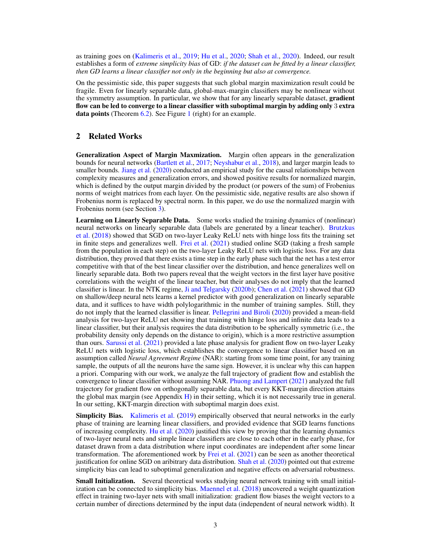as training goes on [\(Kalimeris et al.,](#page-12-2) [2019;](#page-12-2) [Hu et al.,](#page-11-7) [2020;](#page-11-7) [Shah et al.,](#page-13-6) [2020\)](#page-13-6). Indeed, our result establishes a form of *extreme simplicity bias* of GD: *if the dataset can be fitted by a linear classifier, then GD learns a linear classifier not only in the beginning but also at convergence.*

On the pessimistic side, this paper suggests that such global margin maximization result could be fragile. Even for linearly separable data, global-max-margin classifiers may be nonlinear without the symmetry assumption. In particular, we show that for any linearly separable dataset, **gradient** flow can be led to converge to a linear classifier with suboptimal margin by adding only 3 extra **data points** (Theorem  $6.2$ ). See Figure [1](#page-3-0) (right) for an example.

# 2 Related Works

Generalization Aspect of Margin Maxmization. Margin often appears in the generalization bounds for neural networks [\(Bartlett et al.,](#page-10-5) [2017;](#page-10-5) [Neyshabur et al.,](#page-12-7) [2018\)](#page-12-7), and larger margin leads to smaller bounds. [Jiang et al.](#page-12-8) [\(2020\)](#page-12-8) conducted an empirical study for the causal relationships between complexity measures and generalization errors, and showed positive results for normalized margin, which is defined by the output margin divided by the product (or powers of the sum) of Frobenius norms of weight matrices from each layer. On the pessimistic side, negative results are also shown if Frobenius norm is replaced by spectral norm. In this paper, we do use the normalized margin with Frobenius norm (see Section [3\)](#page-3-1).

Learning on Linearly Separable Data. Some works studied the training dynamics of (nonlinear) neural networks on linearly separable data (labels are generated by a linear teacher). [Brutzkus](#page-10-4) [et al.](#page-10-4) [\(2018\)](#page-10-4) showed that SGD on two-layer Leaky ReLU nets with hinge loss fits the training set in finite steps and generalizes well. [Frei et al.](#page-11-8) [\(2021\)](#page-11-8) studied online SGD (taking a fresh sample from the population in each step) on the two-layer Leaky ReLU nets with logistic loss. For any data distribution, they proved that there exists a time step in the early phase such that the net has a test error competitive with that of the best linear classifier over the distribution, and hence generalizes well on linearly separable data. Both two papers reveal that the weight vectors in the first layer have positive correlations with the weight of the linear teacher, but their analyses do not imply that the learned classifier is linear. In the NTK regime, [Ji and Telgarsky](#page-12-9) [\(2020b\)](#page-12-9); [Chen et al.](#page-10-6) [\(2021\)](#page-10-6) showed that GD on shallow/deep neural nets learns a kernel predictor with good generalization on linearly separable data, and it suffices to have width polylogarithmic in the number of training samples. Still, they do not imply that the learned classifier is linear. [Pellegrini and Biroli](#page-13-7) [\(2020\)](#page-13-7) provided a mean-field analysis for two-layer ReLU net showing that training with hinge loss and infinite data leads to a linear classifier, but their analysis requires the data distribution to be spherically symmetric (i.e., the probability density only depends on the distance to origin), which is a more restrictive assumption than ours. [Sarussi et al.](#page-13-5) [\(2021\)](#page-13-5) provided a late phase analysis for gradient flow on two-layer Leaky ReLU nets with logistic loss, which establishes the convergence to linear classifier based on an assumption called *Neural Agreement Regime* (NAR): starting from some time point, for any training sample, the outputs of all the neurons have the same sign. However, it is unclear why this can happen a priori. Comparing with our work, we analyze the full trajectory of gradient flow and establish the convergence to linear classifier without assuming NAR. [Phuong and Lampert](#page-13-3) [\(2021\)](#page-13-3) analyzed the full trajectory for gradient flow on orthogonally separable data, but every KKT-margin direction attains the global max margin (see Appendix  $H$ ) in their setting, which it is not necessarily true in general. In our setting, KKT-margin direction with suboptimal margin does exist.

Simplicity Bias. [Kalimeris et al.](#page-12-2) [\(2019\)](#page-12-2) empirically observed that neural networks in the early phase of training are learning linear classifiers, and provided evidence that SGD learns functions of increasing complexity. [Hu et al.](#page-11-7) [\(2020\)](#page-11-7) justified this view by proving that the learning dynamics of two-layer neural nets and simple linear classifiers are close to each other in the early phase, for dataset drawn from a data distribution where input coordinates are independent after some linear transformation. The aforementioned work by [Frei et al.](#page-11-8) [\(2021\)](#page-11-8) can be seen as another theoretical justification for online SGD on aribitrary data distribution. [Shah et al.](#page-13-6) [\(2020\)](#page-13-6) pointed out that extreme simplicity bias can lead to suboptimal generalization and negative effects on adversarial robustness.

**Small Initialization.** Several theoretical works studying neural network training with small initialization can be connected to simplicity bias. [Maennel et al.](#page-12-10) [\(2018\)](#page-12-10) uncovered a weight quantization effect in training two-layer nets with small initialization: gradient flow biases the weight vectors to a certain number of directions determined by the input data (independent of neural network width). It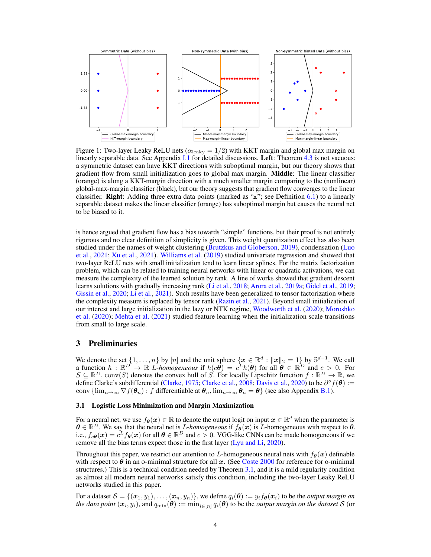<span id="page-3-0"></span>

Figure 1: Two-layer Leaky ReLU nets ( $\alpha_{\rm leaky} = 1/2$ ) with KKT margin and global max margin on linearly separable data. See Appendix [I.1](#page--1-1) for detailed discussions. Left: Theorem [4.3](#page-5-1) is not vacuous: a symmetric dataset can have KKT directions with suboptimal margin, but our theory shows that gradient flow from small initialization goes to global max margin. Middle: The linear classifier (orange) is along a KKT-margin direction with a much smaller margin comparing to the (nonlinear) global-max-margin classifier (black), but our theory suggests that gradient flow converges to the linear classifier. Right: Adding three extra data points (marked as "x"; see Definition [6.1\)](#page-9-3) to a linearly separable dataset makes the linear classifier (orange) has suboptimal margin but causes the neural net to be biased to it.

is hence argued that gradient flow has a bias towards "simple" functions, but their proof is not entirely rigorous and no clear definition of simplicity is given. This weight quantization effect has also been studied under the names of weight clustering [\(Brutzkus and Globerson,](#page-10-7) [2019\)](#page-10-7), condensation [\(Luo](#page-12-11) [et al.,](#page-12-11) [2021;](#page-12-11) [Xu et al.,](#page-13-8) [2021\)](#page-13-8). [Williams et al.](#page-13-9) [\(2019\)](#page-13-9) studied univariate regression and showed that two-layer ReLU nets with small initialization tend to learn linear splines. For the matrix factorization problem, which can be related to training neural networks with linear or quadratic activations, we can measure the complexity of the learned solution by rank. A line of works showed that gradient descent learns solutions with gradually increasing rank [\(Li et al.,](#page-12-12) [2018;](#page-12-12) [Arora et al.,](#page-10-8) [2019a;](#page-10-8) [Gidel et al.,](#page-11-9) [2019;](#page-11-9) [Gissin et al.,](#page-11-10) [2020;](#page-11-10) [Li et al.,](#page-12-6) [2021\)](#page-12-6). Such results have been generalized to tensor factorization where the complexity measure is replaced by tensor rank [\(Razin et al.,](#page-13-10) [2021\)](#page-13-10). Beyond small initialization of our interest and large initialization in the lazy or NTK regime, [Woodworth et al.](#page-13-11) [\(2020\)](#page-13-11); [Moroshko](#page-12-13) [et al.](#page-12-13) [\(2020\)](#page-12-13); [Mehta et al.](#page-12-14) [\(2021\)](#page-12-14) studied feature learning when the initialization scale transitions from small to large scale.

## <span id="page-3-1"></span>3 Preliminaries

We denote the set  $\{1,\ldots,n\}$  by  $[n]$  and the unit sphere  $\{x \in \mathbb{R}^d : ||x||_2 = 1\}$  by  $\mathbb{S}^{d-1}$ . We call a function  $h : \mathbb{R}^D \to \mathbb{R}$  *L*-*homogeneous* if  $h(c\hat{\theta}) = c^L h(\theta)$  for all  $\hat{\theta} \in \mathbb{R}^D$  and  $c > 0$ . For  $S \subseteq \mathbb{R}^D$ , conv $(S)$  denotes the convex hull of S. For locally Lipschitz function  $f : \mathbb{R}^D \to \mathbb{R}$ , we define Clarke's subdifferential [\(Clarke,](#page-10-9) [1975;](#page-10-9) [Clarke et al.,](#page-10-10) [2008;](#page-10-10) [Davis et al.,](#page-10-11) [2020\)](#page-10-11) to be  $\partial^{\circ} f(\theta) :=$ conv  $\{\lim_{n\to\infty} \nabla f(\theta_n) : f \text{ differentiable at } \theta_n, \lim_{n\to\infty} \theta_n = \theta \}$  (see also Appendix [B.1\)](#page--1-2).

## 3.1 Logistic Loss Minimization and Margin Maximization

For a neural net, we use  $f_{\theta}(x) \in \mathbb{R}$  to denote the output logit on input  $x \in \mathbb{R}^d$  when the parameter is  $\theta \in \mathbb{R}^D$ . We say that the neural net is *L*-homogeneous if  $f_{\theta}(x)$  is *L*-homogeneous with respect to  $\theta$ , i.e.,  $f_{c\theta}(\bm{x}) = c^L f_{\theta}(\bm{x})$  for all  $\theta \in \mathbb{R}^D$  and  $c > 0$ . VGG-like CNNs can be made homogeneous if we remove all the bias terms expect those in the first layer [\(Lyu and Li,](#page-12-0) [2020\)](#page-12-0).

Throughout this paper, we restrict our attention to L-homogeneous neural nets with  $f_{\theta}(x)$  definable with respect to  $\theta$  in an o-minimal structure for all x. (See [Coste](#page-10-12) [2000](#page-10-12) for reference for o-minimal structures.) This is a technical condition needed by Theorem [3.1,](#page-4-0) and it is a mild regularity condition as almost all modern neural networks satisfy this condition, including the two-layer Leaky ReLU networks studied in this paper.

For a dataset  $\mathcal{S} = \{(\bm{x}_1,y_1),\ldots,(\bm{x}_n,y_n)\},$  we define  $q_i(\bm{\theta}) := y_i f_{\bm{\theta}}(\bm{x}_i)$  to be the *output margin on the data point*  $(x_i, y_i)$ , and  $q_{\min}(\theta) := \min_{i \in [n]} q_i(\theta)$  to be the *output margin on the dataset* S (or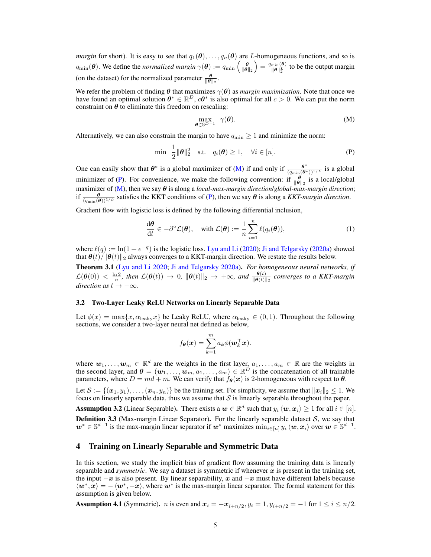*margin* for short). It is easy to see that  $q_1(\theta), \ldots, q_n(\theta)$  are L-homogeneous functions, and so is  $q_{\min}(\theta)$ . We define the *normalized margin*  $\gamma(\theta) := q_{\min}\left(\frac{\theta}{\|\theta\|_2}\right) = \frac{q_{\min}(\theta)}{\|\theta\|_2^L}$  $\frac{\min(\boldsymbol{\theta})}{\|\boldsymbol{\theta}\|_2^L}$  to be the output margin (on the dataset) for the normalized parameter  $\frac{\theta}{\|\theta\|_2}$ .

We refer the problem of finding  $\theta$  that maximizes  $\gamma(\theta)$  as *margin maximization*. Note that once we have found an optimal solution  $\theta^* \in \mathbb{R}^D$ ,  $c\theta^*$  is also optimal for all  $c > 0$ . We can put the norm constraint on  $\theta$  to eliminate this freedom on rescaling:

<span id="page-4-1"></span>
$$
\max_{\boldsymbol{\theta} \in \mathbb{S}^{D-1}} \gamma(\boldsymbol{\theta}). \tag{M}
$$

Alternatively, we can also constrain the margin to have  $q_{\min} \ge 1$  and minimize the norm:

$$
\min \frac{1}{2} \|\boldsymbol{\theta}\|_2^2 \quad \text{s.t.} \quad q_i(\boldsymbol{\theta}) \ge 1, \quad \forall i \in [n]. \tag{P}
$$

One can easily show that  $\theta^*$  is a global maximizer of [\(M\)](#page-4-1) if and only if  $\frac{\theta^*}{(q_{\min}(\theta^*))^{1/L}}$  is a global minimizer of [\(P\)](#page-4-1). For convenience, we make the following convention: if  $\frac{\theta}{\|\theta\|_2}$  is a local/global maximizer of  $(M)$ , then we say  $\theta$  is along a *local-max-margin direction*/*global-max-margin direction*; if  $\frac{\theta}{(q_{\min}(\theta))^{1/L}}$  satisfies the KKT conditions of [\(P\)](#page-4-1), then we say  $\theta$  is along a *KKT-margin direction*.

Gradient flow with logistic loss is defined by the following differential inclusion,

$$
\frac{\mathrm{d}\boldsymbol{\theta}}{\mathrm{d}t} \in -\partial^{\circ}\mathcal{L}(\boldsymbol{\theta}), \quad \text{with } \mathcal{L}(\boldsymbol{\theta}) := \frac{1}{n} \sum_{i=1}^{n} \ell(q_i(\boldsymbol{\theta})), \tag{1}
$$

where  $\ell(q) := \ln(1 + e^{-q})$  is the logistic loss. [Lyu and Li](#page-12-0) [\(2020\)](#page-12-0); [Ji and Telgarsky](#page-12-1) [\(2020a\)](#page-12-1) showed that  $\theta(t)/\|\theta(t)\|_2$  always converges to a KKT-margin direction. We restate the results below.

<span id="page-4-0"></span>Theorem 3.1 [\(Lyu and Li](#page-12-0) [2020;](#page-12-0) [Ji and Telgarsky](#page-12-1) [2020a\)](#page-12-1). *For homogeneous neural networks, if*  $\mathcal{L}(\theta(0)) \, < \, \frac{\ln 2}{n}$ , then  $\mathcal{L}(\theta(t)) \, \to \, 0$ ,  $\|\theta(t)\|_2 \, \to \, +\infty$ , and  $\frac{\theta(t)}{\|\theta(t)\|_2}$  converges to a KKT-margin  $direction as t \rightarrow +\infty.$ 

## 3.2 Two-Layer Leaky ReLU Networks on Linearly Separable Data

Let  $\phi(x) = \max\{x, \alpha_{\text{leaky}}\}$  be Leaky ReLU, where  $\alpha_{\text{leaky}} \in (0, 1)$ . Throughout the following sections, we consider a two-layer neural net defined as below,

$$
f_{\theta}(\boldsymbol{x}) = \sum_{k=1}^{m} a_k \phi(\boldsymbol{w}_k^{\top} \boldsymbol{x}).
$$

where  $w_1, \ldots, w_m \in \mathbb{R}^d$  are the weights in the first layer,  $a_1, \ldots, a_m \in \mathbb{R}$  are the weights in the second layer, and  $\theta = (w_1, \dots, w_m, a_1, \dots, a_m) \in \mathbb{R}^{\hat{D}}$  is the concatenation of all trainable parameters, where  $D = md + m$ . We can verify that  $f_{\theta}(x)$  is 2-homogeneous with respect to  $\theta$ .

Let  $\mathcal{S} := \{(\bm{x}_1, y_1), \ldots, (\bm{x}_n, y_n)\}$  be the training set. For simplicity, we assume that  $\|\bm{x}_i\|_2 \leq 1$ . We focus on linearly separable data, thus we assume that  $S$  is linearly separable throughout the paper.

<span id="page-4-2"></span>**Assumption 3.2** (Linear Separable). There exists a  $w \in \mathbb{R}^d$  such that  $y_i \langle w, x_i \rangle \ge 1$  for all  $i \in [n]$ . **Definition 3.3** (Max-margin Linear Separator). For the linearly separable dataset  $S$ , we say that  $w^* \in \mathbb{S}^{d-1}$  is the max-margin linear separator if  $w^*$  maximizes  $\min_{i \in [n]} y_i \langle w, x_i \rangle$  over  $w \in \mathbb{S}^{d-1}$ .

## 4 Training on Linearly Separable and Symmetric Data

In this section, we study the implicit bias of gradient flow assuming the training data is linearly separable and *symmetric*. We say a dataset is symmetric if whenever  $x$  is present in the training set, the input  $-x$  is also present. By linear separability, x and  $-x$  must have different labels because  $\langle w^*, \dot{x} \rangle = -\langle w^*, -\dot{x} \rangle$ , where  $w^*$  is the max-margin linear separator. The formal statement for this assumption is given below.

<span id="page-4-3"></span>**Assumption 4.1** (Symmetric). *n* is even and  $x_i = -x_{i+n/2}, y_i = 1, y_{i+n/2} = -1$  for  $1 \le i \le n/2$ .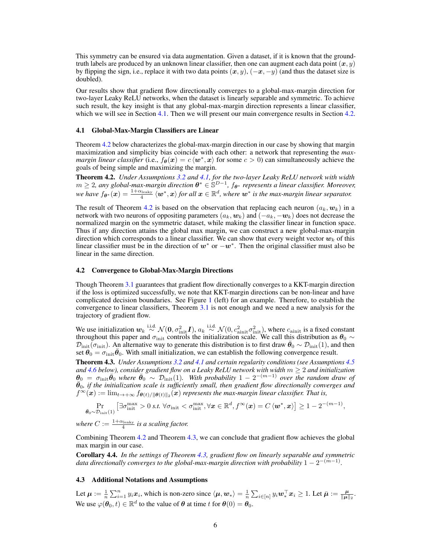This symmetry can be ensured via data augmentation. Given a dataset, if it is known that the groundtruth labels are produced by an unknown linear classifier, then one can augment each data point  $(x, y)$ by flipping the sign, i.e., replace it with two data points  $(x, y)$ ,  $(-x, -y)$  (and thus the dataset size is doubled).

Our results show that gradient flow directionally converges to a global-max-margin direction for two-layer Leaky ReLU networks, when the dataset is linearly separable and symmetric. To achieve such result, the key insight is that any global-max-margin direction represents a linear classifier, which we will see in Section [4.1.](#page-5-2) Then we will present our main convergence results in Section [4.2.](#page-5-3)

### <span id="page-5-2"></span>4.1 Global-Max-Margin Classifiers are Linear

Theorem [4.2](#page-5-0) below characterizes the global-max-margin direction in our case by showing that margin maximization and simplicity bias coincide with each other: a network that representing the *maxmargin linear classifier* (i.e.,  $f_{\theta}(x) = c \langle w^*, x \rangle$  for some  $c > 0$ ) can simultaneously achieve the goals of being simple and maximizing the margin.

<span id="page-5-0"></span>Theorem 4.2. *Under Assumptions [3.2](#page-4-2) and [4.1,](#page-4-3) for the two-layer Leaky ReLU network with width*  $m ≥ 2$ , any global-max-margin direction  $\theta^* ∈ \mathbb{S}^{D-1}$ ,  $f_{\theta^*}$  represents a linear classifier. Moreover,  $w$ e have  $f_{\bm{\theta^*}}(\bm{x}) = \frac{1+\alpha_{\mathrm{leaky}}}{4}\braket{\bm{w^*}, \bm{x}}$  *for all*  $\bm{x} \in \mathbb{R}^d$ *, where*  $\bm{w^*}$  *is the max-margin linear separator.* 

The result of Theorem [4.2](#page-5-0) is based on the observation that replacing each neuron  $(a_k, w_k)$  in a network with two neurons of oppositing parameters  $(a_k, \boldsymbol{w}_k)$  and  $(-a_k, -\boldsymbol{w}_k)$  does not decrease the normalized margin on the symmetric dataset, while making the classifier linear in function space. Thus if any direction attains the global max margin, we can construct a new global-max-margin direction which corresponds to a linear classifier. We can show that every weight vector  $w_k$  of this linear classifier must be in the direction of  $w^*$  or  $-w^*$ . Then the original classifier must also be linear in the same direction.

#### <span id="page-5-3"></span>4.2 Convergence to Global-Max-Margin Directions

Though Theorem [3.1](#page-4-0) guarantees that gradient flow directionally converges to a KKT-margin direction if the loss is optimized successfully, we note that KKT-margin directions can be non-linear and have complicated decision boundaries. See Figure [1](#page-3-0) (left) for an example. Therefore, to establish the convergence to linear classifiers, Theorem [3.1](#page-4-0) is not enough and we need a new analysis for the trajectory of gradient flow.

We use initialization  $w_k \stackrel{\text{i.i.d.}}{\sim} \mathcal{N}(0, \sigma_{\text{init}}^2 I)$ ,  $a_k \stackrel{\text{i.i.d.}}{\sim} \mathcal{N}(0, c_{\text{aint}}^2 \sigma_{\text{init}}^2)$ , where  $c_{\text{aint}}$  is a fixed constant throughout this paper and  $\sigma_{\rm init}$  controls the initialization scale. We call this distribution as  $\theta_0 \sim$  $\mathcal{D}_{\text{init}}(\sigma_{\text{init}})$ . An alternative way to generate this distribution is to first draw  $\bar{\theta}_0 \sim \mathcal{D}_{\text{init}}(1)$ , and then set  $\theta_0 = \sigma_{\text{init}} \bar{\theta}_0$ . With small initialization, we can establish the following convergence result.

<span id="page-5-1"></span>Theorem 4.3. *Under Assumptions [3.2](#page-4-2) and [4.1](#page-4-3) and certain regularity conditions (see Assumptions [4.5](#page-6-0) and [4.6](#page-6-1) below), consider gradient flow on a Leaky ReLU network with width* m ≥ 2 *and initialization*  $\theta_0 = \sigma_{\rm init} \bar{\theta}_0$  where  $\bar{\theta}_0 \sim \mathcal{D}_{\rm init}(1)$ . With probability  $1 - 2^{-(m-1)}$  over the random draw of  $\bar{\theta}_0$ , if the initialization scale is sufficiently small, then gradient flow directionally converges and  $f^{\infty}({\bm{x}}) := \lim_{t\to+\infty} f_{\bm{\theta}(t)/\|\bm{\theta}(t)\|_2}({\bm{x}})$  represents the max-margin linear classifier. That is,

$$
\Pr_{\bar{\theta}_0 \sim \mathcal{D}_{init}(1)} \left[ \exists \sigma_{init}^{max} > 0 \text{ s.t. } \forall \sigma_{init} < \sigma_{init}^{max}, \forall x \in \mathbb{R}^d, f^{\infty}(x) = C \langle w^*, x \rangle \right] \ge 1 - 2^{-(m-1)},
$$

where  $C := \frac{1 + \alpha_{\text{leaky}}}{4}$  is a scaling factor.

Combining Theorem [4.2](#page-5-0) and Theorem [4.3,](#page-5-1) we can conclude that gradient flow achieves the global max margin in our case.

Corollary 4.4. *In the settings of Theorem [4.3,](#page-5-1) gradient flow on linearly separable and symmetric* data directionally converges to the global-max-margin direction with probability  $1 - 2^{-(m-1)}$ .

## 4.3 Additional Notations and Assumptions

Let  $\mu := \frac{1}{n} \sum_{i=1}^n y_i x_i$ , which is non-zero since  $\langle \mu, w_* \rangle = \frac{1}{n} \sum_{i \in [n]} y_i w_*^{\top} x_i \geq 1$ . Let  $\bar{\mu} := \frac{\mu}{\|\mu\|_2}$ . We use  $\varphi(\theta_0, t) \in \mathbb{R}^d$  to the value of  $\theta$  at time t for  $\theta(0) = \theta_0$ .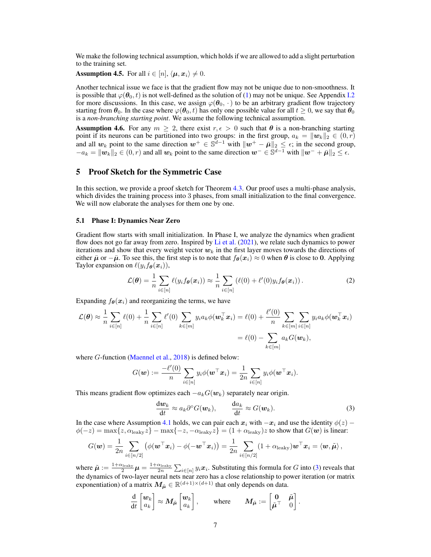We make the following technical assumption, which holds if we are allowed to add a slight perturbation to the training set.

<span id="page-6-0"></span>**Assumption 4.5.** For all  $i \in [n], \langle \mu, x_i \rangle \neq 0$ .

Another technical issue we face is that the gradient flow may not be unique due to non-smoothness. It is possible that  $\varphi(\theta_0, t)$  is not well-defined as the solution of [\(1\)](#page-4-1) may not be unique. See Appendix [I.2](#page--1-3) for more discussions. In this case, we assign  $\varphi(\theta_0, \cdot)$  to be an arbitrary gradient flow trajectory starting from  $\theta_0$ . In the case where  $\varphi(\theta_0, t)$  has only one possible value for all  $t \geq 0$ , we say that  $\theta_0$ is a *non-branching starting point*. We assume the following technical assumption.

<span id="page-6-1"></span>**Assumption 4.6.** For any  $m \geq 2$ , there exist  $r, \epsilon > 0$  such that  $\theta$  is a non-branching starting point if its neurons can be partitioned into two groups: in the first group,  $a_k = ||w_k||_2 \in (0, r)$ and all  $w_k$  point to the same direction  $w^+ \in \mathbb{S}^{\bar{d}-1}$  with  $||w^+ - \bar{\mu}||_2 \leq \epsilon$ ; in the second group,  $-a_k = ||w_k||_2 \in (0, r)$  and all  $w_k$  point to the same direction  $w^- \in \mathbb{S}^{d-1}$  with  $||w^- + \bar{\mu}||_2 \leq \epsilon$ .

## 5 Proof Sketch for the Symmetric Case

In this section, we provide a proof sketch for Theorem [4.3.](#page-5-1) Our proof uses a multi-phase analysis, which divides the training process into 3 phases, from small initialization to the final convergence. We will now elaborate the analyses for them one by one.

## 5.1 Phase I: Dynamics Near Zero

Gradient flow starts with small initialization. In Phase I, we analyze the dynamics when gradient flow does not go far away from zero. Inspired by [Li et al.](#page-12-6) [\(2021\)](#page-12-6), we relate such dynamics to power iterations and show that every weight vector  $w_k$  in the first layer moves towards the directions of either  $\bar{\mu}$  or  $-\bar{\mu}$ . To see this, the first step is to note that  $f_{\theta}(x_i) \approx 0$  when  $\theta$  is close to 0. Applying Taylor expansion on  $\ell(y_i f_{\theta}(\boldsymbol{x}_i))$ ,

$$
\mathcal{L}(\boldsymbol{\theta}) = \frac{1}{n} \sum_{i \in [n]} \ell(y_i f_{\boldsymbol{\theta}}(\boldsymbol{x}_i)) \approx \frac{1}{n} \sum_{i \in [n]} (\ell(0) + \ell'(0) y_i f_{\boldsymbol{\theta}}(\boldsymbol{x}_i)). \tag{2}
$$

Expanding  $f_{\theta}(x_i)$  and reorganizing the terms, we have

$$
\mathcal{L}(\boldsymbol{\theta}) \approx \frac{1}{n} \sum_{i \in [n]} \ell(0) + \frac{1}{n} \sum_{i \in [n]} \ell'(0) \sum_{k \in [m]} y_i a_k \phi(\mathbf{w}_k^{\top} \mathbf{x}_i) = \ell(0) + \frac{\ell'(0)}{n} \sum_{k \in [m]} \sum_{i \in [n]} y_i a_k \phi(\mathbf{w}_k^{\top} \mathbf{x}_i)
$$

$$
= \ell(0) - \sum_{k \in [m]} a_k G(\mathbf{w}_k),
$$

where *G*-function [\(Maennel et al.,](#page-12-10) [2018\)](#page-12-10) is defined below:

$$
G(\boldsymbol{w}) := \frac{-\ell'(0)}{n} \sum_{i \in [n]} y_i \phi(\boldsymbol{w}^\top \boldsymbol{x}_i) = \frac{1}{2n} \sum_{i \in [n]} y_i \phi(\boldsymbol{w}^\top \boldsymbol{x}_i).
$$

This means gradient flow optimizes each  $-a_kG(\mathbf{w}_k)$  separately near origin.

<span id="page-6-2"></span>
$$
\frac{\mathrm{d}w_k}{\mathrm{d}t} \approx a_k \partial^{\circ} G(\boldsymbol{w}_k), \qquad \frac{\mathrm{d}a_k}{\mathrm{d}t} \approx G(\boldsymbol{w}_k). \tag{3}
$$

In the case where Assumption [4.1](#page-4-3) holds, we can pair each  $x_i$  with  $-x_i$  and use the identity  $\phi(z)$  –  $\phi(-z) = \max\{z, \alpha_{\text{leaky}}\overline{z}\} - \max\{-z, -\alpha_{\text{leaky}}\overline{z}\} = (1 + \alpha_{\text{leaky}})z$  to show that  $G(\boldsymbol{w})$  is linear:

$$
G(\boldsymbol{w}) = \frac{1}{2n} \sum_{i \in [n/2]} \left( \phi(\boldsymbol{w}^\top \boldsymbol{x}_i) - \phi(-\boldsymbol{w}^\top \boldsymbol{x}_i) \right) = \frac{1}{2n} \sum_{i \in [n/2]} (1 + \alpha_{\text{leaky}}) \boldsymbol{w}^\top \boldsymbol{x}_i = \langle \boldsymbol{w}, \tilde{\boldsymbol{\mu}} \rangle ,
$$

where  $\tilde{\mu} := \frac{1+\alpha_{\text{leaky}}}{2} \mu = \frac{1+\alpha_{\text{leaky}}}{2n} \sum_{i \in [n]} y_i x_i$ . Substituting this formula for G into [\(3\)](#page-6-2) reveals that the dynamics of two-layer neural nets near zero has a close relationship to power iteration (or matrix exponentiation) of a matrix  $M_{\tilde{\mu}} \in \mathbb{R}^{(d+1)\times(d+1)}$  that only depends on data.

$$
\frac{\mathrm{d}}{\mathrm{d}t}\begin{bmatrix} \boldsymbol{w}_k \\ a_k \end{bmatrix} \approx \boldsymbol{M}_{\tilde{\boldsymbol{\mu}}}\begin{bmatrix} \boldsymbol{w}_k \\ a_k \end{bmatrix}, \qquad \text{where} \qquad \boldsymbol{M}_{\tilde{\boldsymbol{\mu}}} := \begin{bmatrix} \boldsymbol{0} & \tilde{\boldsymbol{\mu}} \\ \tilde{\boldsymbol{\mu}}^{\top} & 0 \end{bmatrix}.
$$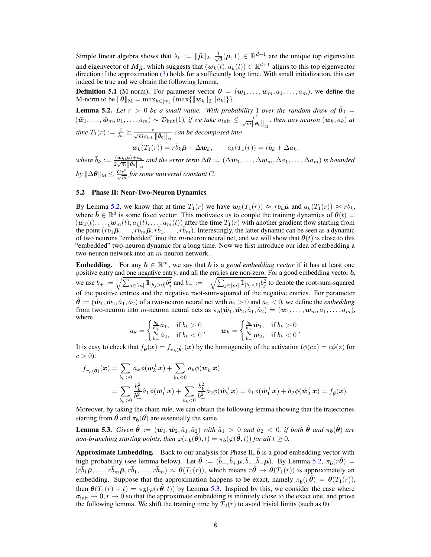Simple linear algebra shows that  $\lambda_0 := \|\tilde{\boldsymbol{\mu}}\|_2, \frac{1}{\sqrt{\lambda}}$  $\overline{z}(\bar{\mu}, 1) \in \mathbb{R}^{d+1}$  are the unique top eigenvalue and eigenvector of  $M_{\tilde\mu}$ , which suggests that  $(w_k(t), a_k(t)) \in \mathbb{R}^{d+1}$  aligns to this top eigenvector direction if the approximation [\(3\)](#page-6-2) holds for a sufficiently long time. With small initialization, this can indeed be true and we obtain the following lemma.

**Definition 5.1** (M-norm). For parameter vector  $\boldsymbol{\theta} = (\boldsymbol{w}_1, \dots, \boldsymbol{w}_m, a_1, \dots, a_m)$ , we define the M-norm to be  $\|\theta\|_{\mathcal{M}} = \max_{k \in [m]} \{\max\{\|\mathbf{w}_k\|_2, |a_k|\}\}.$ 

<span id="page-7-0"></span>**Lemma 5.2.** Let  $r > 0$  be a small value. With probability 1 over the random draw of  $\bar{\theta}_0 =$  $(w_1,\ldots,\bar{w}_m,\bar{a}_1,\ldots,\bar{a}_m) \sim \mathcal{D}_{\rm init}(1)$ , if we take  $\sigma_{\rm init}\leq \frac{r^3}{\sqrt{m}\|\bar{\boldsymbol{\theta}}_0\|_M}$ , then any neuron  $(w_k,a_k)$  at time  $T_1(r):=\frac{1}{\lambda_0}\ln \frac{r}{\sqrt{m}\sigma_{\rm init}\left\|\bar{\pmb\theta}_0\right\|_{\rm M}}$  can be decomposed into

$$
\mathbf{w}_k(T_1(r)) = r\bar{b}_k\bar{\boldsymbol{\mu}} + \Delta \mathbf{w}_k, \qquad a_k(T_1(r)) = r\bar{b}_k + \Delta a_k,
$$

where  $\bar{b}_k := \frac{\langle \bar{\bm{w}}_k, \bar{\bm{\mu}} \rangle + \bar{a}_k}{2 \sqrt{m} \|\bar{\bm{a}}_k\|}$  $\frac{\langle \bm{w}_k,\bm{\mu}\rangle+a_k}{2\sqrt{m}\|\bar{\bm{\theta}}_0\|_{\mathbf{M}}}$  and the error term  $\Delta \bm{\theta}:=(\Delta \bm{w}_1,\ldots,\Delta \bm{w}_m,\Delta a_1,\ldots,\Delta a_m)$  is bounded  $by \|\Delta\theta\|_{\text{M}} \leq \frac{Cr^3}{\sqrt{m}}$  for some universal constant C.

## 5.2 Phase II: Near-Two-Neuron Dynamics

By Lemma [5.2,](#page-7-0) we know that at time  $T_1(r)$  we have  $w_k(T_1(r)) \approx r \overline{b}_k \overline{\mu}$  and  $a_k(T_1(r)) \approx r \overline{b}_k$ , where  $\bar{b} \in \mathbb{R}^d$  is some fixed vector. This motivates us to couple the training dynamics of  $\theta(t) =$  $(w_1(t), \ldots, w_m(t), a_1(t), \ldots, a_m(t))$  after the time  $T_1(r)$  with another gradient flow starting from the point  $(r\bar{b}_1\bar{\mu}, \ldots, r\bar{b}_m\bar{\mu}, r\bar{b}_1, \ldots, r\bar{b}_m)$ . Interestingly, the latter dynamic can be seen as a dynamic of two neurons "embedded" into the m-neuron neural net, and we will show that  $\theta(t)$  is close to this "embedded" two-neuron dynamic for a long time. Now we first introduce our idea of embedding a two-neuron network into an m-neuron network.

**Embedding.** For any  $b \in \mathbb{R}^m$ , we say that b is a *good embedding vector* if it has at least one positive entry and one negative entry, and all the entries are non-zero. For a good embedding vector b, we use  $b_+ := \sqrt{\sum_{j \in [m]} \mathbb{1}_{[b_j > 0]} b_j^2}$  and  $b_- := -\sqrt{\sum_{j \in [m]} \mathbb{1}_{[b_j < 0]} b_j^2}$  to denote the root-sum-squared of the positive entries and the negative root-sum-squared of the negative entries. For parameter  $\hat{\theta} := (\hat{w}_1, \hat{w}_2, \hat{a}_1, \hat{a}_2)$  of a two-neuron neural net with  $\hat{a}_1 > 0$  and  $\hat{a}_2 < 0$ , we define the *embedding* from two-neuron into *m*-neuron neural nets as  $\pi_b(\hat{\bm{w}}_1, \hat{\bm{w}}_2, \hat{a}_1, \hat{a}_2) = (\bm{w}_1, \dots, \bm{w}_m, a_1, \dots, a_m)$ , where

$$
a_k = \begin{cases} \frac{b_k}{b_k} \hat{a}_1, & \text{if } b_k > 0\\ \frac{b_k}{b_-} \hat{a}_2, & \text{if } b_k < 0 \end{cases}, \qquad \mathbf{w}_k = \begin{cases} \frac{b_k}{b_+} \hat{\mathbf{w}}_1, & \text{if } b_k > 0\\ \frac{b_k}{b_-} \hat{\mathbf{w}}_2, & \text{if } b_k < 0 \end{cases}
$$

.

It is easy to check that  $f_{\hat{\theta}}(x) = f_{\pi_b(\hat{\theta})}(x)$  by the homogeneity of the activation ( $\phi(cz) = c\phi(z)$  for  $c > 0$ :

$$
f_{\pi_b(\hat{\theta})}(x) = \sum_{b_k>0} a_k \phi(\boldsymbol{w}_k^{\top} x) + \sum_{b_k<0} a_k \phi(\boldsymbol{w}_k^{\top} x)
$$
  
= 
$$
\sum_{b_k>0} \frac{b_k^2}{b_+^2} \hat{a}_1 \phi(\hat{\boldsymbol{w}}_1^{\top} x) + \sum_{b_k<0} \frac{b_k^2}{b_-^2} \hat{a}_2 \phi(\hat{\boldsymbol{w}}_2^{\top} x) = \hat{a}_1 \phi(\hat{\boldsymbol{w}}_1^{\top} x) + \hat{a}_2 \phi(\hat{\boldsymbol{w}}_2^{\top} x) = f_{\hat{\theta}}(x).
$$

Moreover, by taking the chain rule, we can obtain the following lemma showing that the trajectories starting from  $\hat{\theta}$  and  $\pi_b(\hat{\theta})$  are essentially the same.

<span id="page-7-1"></span>**Lemma 5.3.** *Given*  $\hat{\theta} := (\hat{w}_1, \hat{w}_2, \hat{a}_1, \hat{a}_2)$  *with*  $\hat{a}_1 > 0$  *and*  $\hat{a}_2 < 0$ , *if both*  $\hat{\theta}$  *and*  $\pi_b(\hat{\theta})$  *are non-branching starting points, then*  $\varphi(\pi_b(\hat{\theta}), t) = \pi_b(\varphi(\hat{\theta}, t))$  *for all*  $t \geq 0$ *.* 

**Approximate Embedding.** Back to our analysis for Phase II,  $\bar{b}$  is a good embedding vector with high probability (see lemma below). Let  $\hat{\theta} := (\bar{b}_+, \bar{b}_+, \bar{b}_-, \bar{b}_-, \bar{b}_-, \bar{\mu})$ . By Lemma [5.2,](#page-7-0)  $\pi_{\bar{b}}(r\hat{\theta}) =$  $(r\bar{b}_1\bar{\mu}, \ldots, r\bar{b}_m\bar{\mu}, r\bar{b}_1, \ldots, r\bar{b}_m) \approx \theta(T_1(r))$ , which means  $r\hat{\theta} \to \theta(T_1(r))$  is approximately an embedding. Suppose that the approximation happens to be exact, namely  $\pi_{\bar{b}}(r\hat{\theta}) = \theta(T_1(r))$ , then  $\theta(T_1(r) + t) = \pi_{\bar{b}}(\varphi(r\hat{\theta}, t))$  by Lemma [5.3.](#page-7-1) Inspired by this, we consider the case where  $\sigma_{\text{init}} \to 0, r \to 0$  so that the approximate embedding is infinitely close to the exact one, and prove the following lemma. We shift the training time by  $\overline{T}_2(r)$  to avoid trivial limits (such as 0).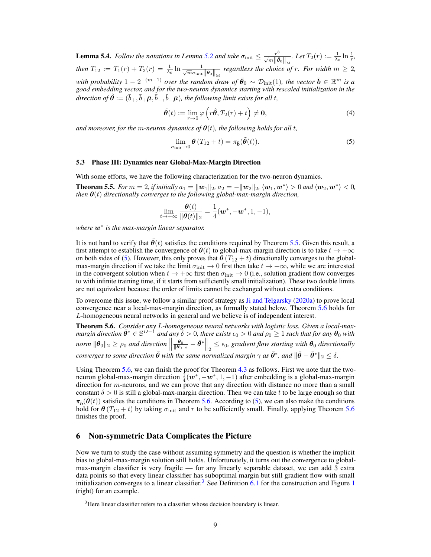**Lemma 5.4.** *Follow the notations in Lemma [5.2](#page-7-0) and take*  $\sigma_{\text{init}} \leq \frac{r^3}{\sqrt{m} \|\bar{\boldsymbol{\theta}}_0\|_{\mathcal{M}}}$ *. Let*  $T_2(r) := \frac{1}{\lambda_0} \ln \frac{1}{r}$ *, then*  $T_{12} := T_1(r) + T_2(r) = \frac{1}{\lambda_0} \ln \frac{1}{\sqrt{m \sigma_{\text{init}}} ||\bar{\theta}_0||_M}$  regardless the choice of r. For width  $m \geq 2$ , with probability  $1 - 2^{-(m-1)}$  *over the random draw of*  $\bar{\theta}_0 \sim \mathcal{D}_{\text{init}}(1)$ *, the vector*  $\bar{\mathbf{b}} \in \mathbb{R}^m$  is a *good embedding vector, and for the two-neuron dynamics starting with rescaled initialization in the*  $direction$  of  $\hat{\bm{\theta}}:=(\bar{b}_+,\bar{b}_+\bar{\bm{\mu}},\bar{b}_-,\bar{b}_-\bar{\bm{\mu}}),$  the following limit exists for all  $t,$ 

$$
\tilde{\boldsymbol{\theta}}(t) := \lim_{r \to 0} \varphi\left(r\hat{\boldsymbol{\theta}}, T_2(r) + t\right) \neq \mathbf{0},\tag{4}
$$

*and moreover, for the m-neuron dynamics of*  $\theta(t)$ *, the following holds for all t,* 

<span id="page-8-1"></span>
$$
\lim_{\sigma_{\text{init}} \to 0} \theta(T_{12} + t) = \pi_{\bar{b}}(\tilde{\theta}(t)).
$$
\n(5)

## 5.3 Phase III: Dynamics near Global-Max-Margin Direction

<span id="page-8-0"></span>With some efforts, we have the following characterization for the two-neuron dynamics. **Theorem 5.5.** For  $m = 2$ , if initially  $a_1 = ||w_1||_2$ ,  $a_2 = -||w_2||_2$ ,  $\langle w_1, w^* \rangle > 0$  and  $\langle w_2, w^* \rangle < 0$ , *then*  $\theta(t)$  *directionally converges to the following global-max-margin direction,* 

$$
\lim_{t\to+\infty}\frac{\boldsymbol{\theta}(t)}{\|\boldsymbol{\theta}(t)\|_2}=\frac{1}{4}(\boldsymbol{w}^*,-\boldsymbol{w}^*,1,-1),
$$

*where* w<sup>∗</sup> *is the max-margin linear separator.*

It is not hard to verify that  $\hat{\theta}(t)$  satisfies the conditions required by Theorem [5.5.](#page-8-0) Given this result, a first attempt to establish the convergence of  $\theta(t)$  to global-max-margin direction is to take  $t \to +\infty$ on both sides of [\(5\)](#page-8-1). However, this only proves that  $\theta(T_{12} + t)$  directionally converges to the globalmax-margin direction if we take the limit  $\sigma_{\text{init}} \to 0$  first then take  $t \to +\infty$ , while we are interested in the convergent solution when  $t \to +\infty$  first then  $\sigma_{\text{init}} \to 0$  (i.e., solution gradient flow converges to with infinite training time, if it starts from sufficiently small initialization). These two double limits are not equivalent because the order of limits cannot be exchanged without extra conditions.

To overcome this issue, we follow a similar proof strategy as [Ji and Telgarsky](#page-12-1) [\(2020a\)](#page-12-1) to prove local convergence near a local-max-margin direction, as formally stated below. Theorem [5.6](#page-8-2) holds for L-homogeneous neural networks in general and we believe is of independent interest.

<span id="page-8-2"></span>Theorem 5.6. *Consider any* L*-homogeneous neural networks with logistic loss. Given a local-max* $m$ argin direction  $\bar{\bm{\theta}}^* \in \mathbb{S}^{D-1}$  and any  $\delta > 0$ , there exists  $\epsilon_0 > 0$  and  $\rho_0 \geq 1$  such that for any  $\bm{\theta}_0$  with  $$  $\frac{\theta_0}{\|\theta_0\|_2} - \bar{\theta}^* \Big\|_2 \leq \epsilon_0$ , gradient flow starting with  $\theta_0$  directionally *converges to some direction*  $\bar{\theta}$  *with the same normalized margin*  $\gamma$  *as*  $\bar{\theta}^*$ *, and*  $\|\bar{\theta} - \bar{\theta}^*\|_2 \leq \delta$ *.* 

Using Theorem [5.6,](#page-8-2) we can finish the proof for Theorem [4.3](#page-5-1) as follows. First we note that the twoneuron global-max-margin direction  $\frac{1}{4}(\boldsymbol{w}^*, -\boldsymbol{w}^*, 1, -1)$  after embedding is a global-max-margin direction for  $m$ -neurons, and we can prove that any direction with distance no more than a small constant  $\delta > 0$  is still a global-max-margin direction. Then we can take t to be large enough so that  $\pi_{\bar{\boldsymbol{b}}}(\boldsymbol{\theta}(t))$  satisfies the conditions in Theorem [5.6.](#page-8-2) According to [\(5\)](#page-8-1), we can also make the conditions hold for  $\theta(T_{12} + t)$  by taking  $\sigma_{init}$  and r to be sufficiently small. Finally, applying Theorem [5.6](#page-8-2) finishes the proof.

## 6 Non-symmetric Data Complicates the Picture

Now we turn to study the case without assuming symmetry and the question is whether the implicit bias to global-max-margin solution still holds. Unfortunately, it turns out the convergence to globalmax-margin classifier is very fragile — for any linearly separable dataset, we can add 3 extra data points so that every linear classifier has suboptimal margin but still gradient flow with small initialization converges to a linear classifier.<sup>[3](#page-8-3)</sup> See Definition  $6.1$  for the construction and Figure [1](#page-3-0) (right) for an example.

<span id="page-8-3"></span><sup>&</sup>lt;sup>3</sup>Here linear classifier refers to a classifier whose decision boundary is linear.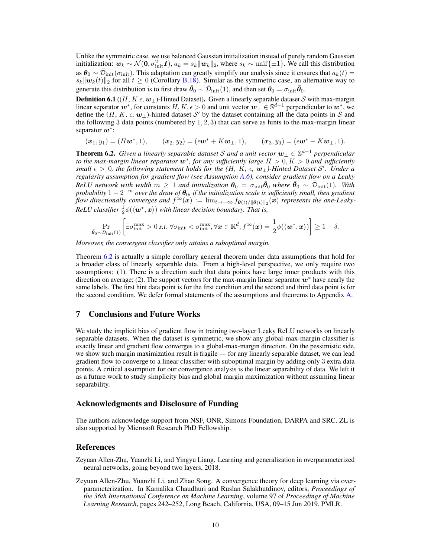Unlike the symmetric case, we use balanced Gaussian initialization instead of purely random Gaussian initialization:  $w_k \sim \mathcal{N}(0, \sigma_{\text{init}}^2 I)$ ,  $a_k = s_k ||w_k||_2$ , where  $s_k \sim \text{unif}\{\pm 1\}$ . We call this distribution as  $\theta_0 \sim \tilde{\mathcal{D}}_{init}(\sigma_{init})$ . This adaptation can greatly simplify our analysis since it ensures that  $a_k(t)$  $s_k \|\mathbf{w}_k(t)\|_2$  for all  $t \geq 0$  (Corollary [B.18\)](#page--1-4). Similar as the symmetric case, an alternative way to generate this distribution is to first draw  $\bar{\theta}_0 \sim \tilde{\mathcal{D}}_\text{init}(1)$ , and then set  $\theta_0 = \sigma_\text{init} \bar{\theta}_0$ .

<span id="page-9-3"></span>**Definition 6.1** ((H, K  $\epsilon$ ,  $w_{\perp}$ )-Hinted Dataset). Given a linearly separable dataset S with max-margin linear separator  $w^*$ , for constants  $H, K, \epsilon > 0$  and unit vector  $w^{\perp} \in \mathbb{S}^{d-1}$  perpendicular to  $w^*$ , we define the  $(H, K, \epsilon, w_\perp)$ -hinted dataset  $\mathcal{S}'$  by the dataset containing all the data points in  $\mathcal S$  and the following 3 data points (numbered by  $1, 2, 3$ ) that can serve as hints to the max-margin linear separator  $w^*$ :

 $(\mathbf{x}_1, y_1) = (H\mathbf{w}^*, 1),$   $(\mathbf{x}_2, y_2) = (\epsilon \mathbf{w}^* + K\mathbf{w}_\perp, 1),$   $(\mathbf{x}_3, y_3) = (\epsilon \mathbf{w}^* - K\mathbf{w}_\perp, 1).$ 

<span id="page-9-2"></span>Theorem 6.2. *Given a linearly separable dataset* S *and a unit vector* w<sup>⊥</sup> ∈ S <sup>d</sup>−<sup>1</sup> *perpendicular to the max-margin linear separator* w<sup>∗</sup> *, for any sufficiently large* H > 0, K > 0 *and sufficiently small* > 0*, the following statement holds for the (*H*,* K*, ,* w⊥*)-Hinted Dataset* S 0 *. Under a regularity assumption for gradient flow (see Assumption [A.6\)](#page--1-5), consider gradient flow on a Leaky*  $ReLU$  network with width  $m \geq 1$  and initialization  $\theta_0 = \sigma_{init} \overline{\theta}_0$  where  $\overline{\theta}_0 \sim \tilde{\mathcal{D}}_{init}(1)$ . With  $p$ robability  $1 - 2^{-m}$  *over the draw of*  $\bar{\theta}_0$ , if the initialization scale is sufficiently small, then gradient *flow directionally converges and*  $f^{\infty}(\bm{x}) := \lim_{t \to +\infty} f_{\bm{\theta}(t)/\|\bm{\theta}(t)\|_2}(\bm{x})$  *represents the one-Leaky-* $ReLU$  classifier  $\frac{1}{2}\phi(\langle \boldsymbol{w}^*, \boldsymbol{x}\rangle)$  with linear decision boundary. That is,

$$
\Pr_{\bar{\boldsymbol{\theta}}_0 \sim \mathcal{D}_{\text{init}}(1)} \left[ \exists \sigma_{\text{init}}^{\text{max}} > 0 \text{ s.t. } \forall \sigma_{\text{init}} < \sigma_{\text{init}}^{\text{max}}, \forall \boldsymbol{x} \in \mathbb{R}^d, f^{\infty}(\boldsymbol{x}) = \frac{1}{2} \phi(\langle \boldsymbol{w}^*, \boldsymbol{x} \rangle) \right] \ge 1 - \delta.
$$

*Moreover, the convergent classifier only attains a suboptimal margin.*

Theorem [6.2](#page-9-2) is actually a simple corollary general theorem under data assumptions that hold for a broader class of linearly separable data. From a high-level perspective, we only require two assumptions: (1). There is a direction such that data points have large inner products with this direction on average; (2). The support vectors for the max-margin linear separator  $w^*$  have nearly the same labels. The first hint data point is for the first condition and the second and third data point is for the second condition. We defer formal statements of the assumptions and theorems to Appendix [A.](#page--1-0)

# 7 Conclusions and Future Works

We study the implicit bias of gradient flow in training two-layer Leaky ReLU networks on linearly separable datasets. When the dataset is symmetric, we show any global-max-margin classifier is exactly linear and gradient flow converges to a global-max-margin direction. On the pessimistic side, we show such margin maximization result is fragile — for any linearly separable dataset, we can lead gradient flow to converge to a linear classifier with suboptimal margin by adding only 3 extra data points. A critical assumption for our convergence analysis is the linear separability of data. We left it as a future work to study simplicity bias and global margin maximization without assuming linear separability.

## Acknowledgments and Disclosure of Funding

The authors acknowledge support from NSF, ONR, Simons Foundation, DARPA and SRC. ZL is also supported by Microsoft Research PhD Fellowship.

## References

<span id="page-9-0"></span>Zeyuan Allen-Zhu, Yuanzhi Li, and Yingyu Liang. Learning and generalization in overparameterized neural networks, going beyond two layers, 2018.

<span id="page-9-1"></span>Zeyuan Allen-Zhu, Yuanzhi Li, and Zhao Song. A convergence theory for deep learning via overparameterization. In Kamalika Chaudhuri and Ruslan Salakhutdinov, editors, *Proceedings of the 36th International Conference on Machine Learning*, volume 97 of *Proceedings of Machine Learning Research*, pages 242–252, Long Beach, California, USA, 09–15 Jun 2019. PMLR.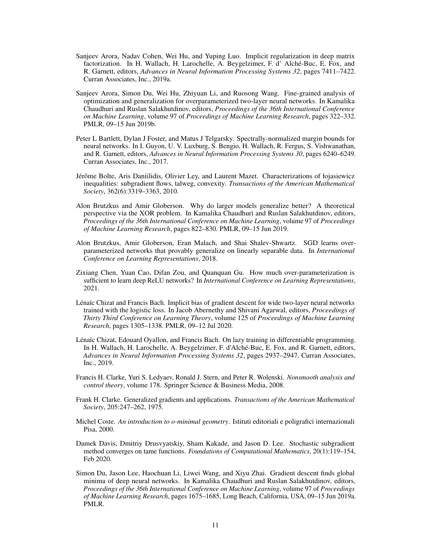- <span id="page-10-8"></span>Sanjeev Arora, Nadav Cohen, Wei Hu, and Yuping Luo. Implicit regularization in deep matrix factorization. In H. Wallach, H. Larochelle, A. Beygelzimer, F. d' Alché-Buc, E. Fox, and R. Garnett, editors, *Advances in Neural Information Processing Systems 32*, pages 7411–7422. Curran Associates, Inc., 2019a.
- <span id="page-10-3"></span>Sanjeev Arora, Simon Du, Wei Hu, Zhiyuan Li, and Ruosong Wang. Fine-grained analysis of optimization and generalization for overparameterized two-layer neural networks. In Kamalika Chaudhuri and Ruslan Salakhutdinov, editors, *Proceedings of the 36th International Conference on Machine Learning*, volume 97 of *Proceedings of Machine Learning Research*, pages 322–332. PMLR, 09–15 Jun 2019b.
- <span id="page-10-5"></span>Peter L Bartlett, Dylan J Foster, and Matus J Telgarsky. Spectrally-normalized margin bounds for neural networks. In I. Guyon, U. V. Luxburg, S. Bengio, H. Wallach, R. Fergus, S. Vishwanathan, and R. Garnett, editors, *Advances in Neural Information Processing Systems 30*, pages 6240–6249. Curran Associates, Inc., 2017.
- Jérôme Bolte, Aris Daniilidis, Olivier Ley, and Laurent Mazet. Characterizations of łojasiewicz inequalities: subgradient flows, talweg, convexity. *Transactions of the American Mathematical Society*, 362(6):3319–3363, 2010.
- <span id="page-10-7"></span>Alon Brutzkus and Amir Globerson. Why do larger models generalize better? A theoretical perspective via the XOR problem. In Kamalika Chaudhuri and Ruslan Salakhutdinov, editors, *Proceedings of the 36th International Conference on Machine Learning*, volume 97 of *Proceedings of Machine Learning Research*, pages 822–830. PMLR, 09–15 Jun 2019.
- <span id="page-10-4"></span>Alon Brutzkus, Amir Globerson, Eran Malach, and Shai Shalev-Shwartz. SGD learns overparameterized networks that provably generalize on linearly separable data. In *International Conference on Learning Representations*, 2018.
- <span id="page-10-6"></span>Zixiang Chen, Yuan Cao, Difan Zou, and Quanquan Gu. How much over-parameterization is sufficient to learn deep ReLU networks? In *International Conference on Learning Representations*, 2021.
- <span id="page-10-0"></span>Lénaïc Chizat and Francis Bach. Implicit bias of gradient descent for wide two-layer neural networks trained with the logistic loss. In Jacob Abernethy and Shivani Agarwal, editors, *Proceedings of Thirty Third Conference on Learning Theory*, volume 125 of *Proceedings of Machine Learning Research*, pages 1305–1338. PMLR, 09–12 Jul 2020.
- <span id="page-10-1"></span>Lénaïc Chizat, Edouard Oyallon, and Francis Bach. On lazy training in differentiable programming. In H. Wallach, H. Larochelle, A. Beygelzimer, F. d'Alché-Buc, E. Fox, and R. Garnett, editors, *Advances in Neural Information Processing Systems 32*, pages 2937–2947. Curran Associates, Inc., 2019.
- <span id="page-10-10"></span>Francis H. Clarke, Yuri S. Ledyaev, Ronald J. Stern, and Peter R. Wolenski. *Nonsmooth analysis and control theory*, volume 178. Springer Science & Business Media, 2008.
- <span id="page-10-9"></span>Frank H. Clarke. Generalized gradients and applications. *Transactions of the American Mathematical Society*, 205:247–262, 1975.
- <span id="page-10-12"></span>Michel Coste. *An introduction to o-minimal geometry*. Istituti editoriali e poligrafici internazionali Pisa, 2000.
- <span id="page-10-11"></span>Damek Davis, Dmitriy Drusvyatskiy, Sham Kakade, and Jason D. Lee. Stochastic subgradient method converges on tame functions. *Foundations of Computational Mathematics*, 20(1):119–154, Feb 2020.
- <span id="page-10-2"></span>Simon Du, Jason Lee, Haochuan Li, Liwei Wang, and Xiyu Zhai. Gradient descent finds global minima of deep neural networks. In Kamalika Chaudhuri and Ruslan Salakhutdinov, editors, *Proceedings of the 36th International Conference on Machine Learning*, volume 97 of *Proceedings of Machine Learning Research*, pages 1675–1685, Long Beach, California, USA, 09–15 Jun 2019a. PMLR.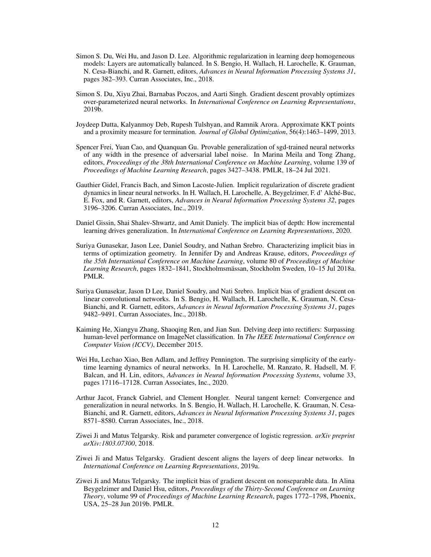- Simon S. Du, Wei Hu, and Jason D. Lee. Algorithmic regularization in learning deep homogeneous models: Layers are automatically balanced. In S. Bengio, H. Wallach, H. Larochelle, K. Grauman, N. Cesa-Bianchi, and R. Garnett, editors, *Advances in Neural Information Processing Systems 31*, pages 382–393. Curran Associates, Inc., 2018.
- <span id="page-11-6"></span>Simon S. Du, Xiyu Zhai, Barnabas Poczos, and Aarti Singh. Gradient descent provably optimizes over-parameterized neural networks. In *International Conference on Learning Representations*, 2019b.
- Joydeep Dutta, Kalyanmoy Deb, Rupesh Tulshyan, and Ramnik Arora. Approximate KKT points and a proximity measure for termination. *Journal of Global Optimization*, 56(4):1463–1499, 2013.
- <span id="page-11-8"></span>Spencer Frei, Yuan Cao, and Quanquan Gu. Provable generalization of sgd-trained neural networks of any width in the presence of adversarial label noise. In Marina Meila and Tong Zhang, editors, *Proceedings of the 38th International Conference on Machine Learning*, volume 139 of *Proceedings of Machine Learning Research*, pages 3427–3438. PMLR, 18–24 Jul 2021.
- <span id="page-11-9"></span>Gauthier Gidel, Francis Bach, and Simon Lacoste-Julien. Implicit regularization of discrete gradient dynamics in linear neural networks. In H. Wallach, H. Larochelle, A. Beygelzimer, F. d' Alché-Buc, E. Fox, and R. Garnett, editors, *Advances in Neural Information Processing Systems 32*, pages 3196–3206. Curran Associates, Inc., 2019.
- <span id="page-11-10"></span>Daniel Gissin, Shai Shalev-Shwartz, and Amit Daniely. The implicit bias of depth: How incremental learning drives generalization. In *International Conference on Learning Representations*, 2020.
- <span id="page-11-0"></span>Suriya Gunasekar, Jason Lee, Daniel Soudry, and Nathan Srebro. Characterizing implicit bias in terms of optimization geometry. In Jennifer Dy and Andreas Krause, editors, *Proceedings of the 35th International Conference on Machine Learning*, volume 80 of *Proceedings of Machine Learning Research*, pages 1832–1841, Stockholmsmässan, Stockholm Sweden, 10–15 Jul 2018a. PMLR.
- <span id="page-11-4"></span>Suriya Gunasekar, Jason D Lee, Daniel Soudry, and Nati Srebro. Implicit bias of gradient descent on linear convolutional networks. In S. Bengio, H. Wallach, H. Larochelle, K. Grauman, N. Cesa-Bianchi, and R. Garnett, editors, *Advances in Neural Information Processing Systems 31*, pages 9482–9491. Curran Associates, Inc., 2018b.
- Kaiming He, Xiangyu Zhang, Shaoqing Ren, and Jian Sun. Delving deep into rectifiers: Surpassing human-level performance on ImageNet classification. In *The IEEE International Conference on Computer Vision (ICCV)*, December 2015.
- <span id="page-11-7"></span>Wei Hu, Lechao Xiao, Ben Adlam, and Jeffrey Pennington. The surprising simplicity of the earlytime learning dynamics of neural networks. In H. Larochelle, M. Ranzato, R. Hadsell, M. F. Balcan, and H. Lin, editors, *Advances in Neural Information Processing Systems*, volume 33, pages 17116–17128. Curran Associates, Inc., 2020.
- <span id="page-11-5"></span>Arthur Jacot, Franck Gabriel, and Clement Hongler. Neural tangent kernel: Convergence and generalization in neural networks. In S. Bengio, H. Wallach, H. Larochelle, K. Grauman, N. Cesa-Bianchi, and R. Garnett, editors, *Advances in Neural Information Processing Systems 31*, pages 8571–8580. Curran Associates, Inc., 2018.
- <span id="page-11-1"></span>Ziwei Ji and Matus Telgarsky. Risk and parameter convergence of logistic regression. *arXiv preprint arXiv:1803.07300*, 2018.
- <span id="page-11-3"></span>Ziwei Ji and Matus Telgarsky. Gradient descent aligns the layers of deep linear networks. In *International Conference on Learning Representations*, 2019a.
- <span id="page-11-2"></span>Ziwei Ji and Matus Telgarsky. The implicit bias of gradient descent on nonseparable data. In Alina Beygelzimer and Daniel Hsu, editors, *Proceedings of the Thirty-Second Conference on Learning Theory*, volume 99 of *Proceedings of Machine Learning Research*, pages 1772–1798, Phoenix, USA, 25–28 Jun 2019b. PMLR.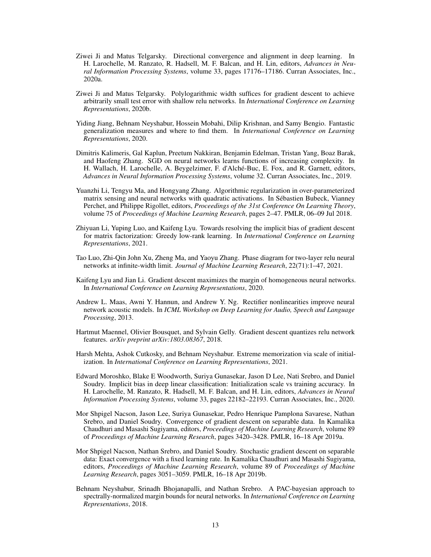- <span id="page-12-1"></span>Ziwei Ji and Matus Telgarsky. Directional convergence and alignment in deep learning. In H. Larochelle, M. Ranzato, R. Hadsell, M. F. Balcan, and H. Lin, editors, *Advances in Neural Information Processing Systems*, volume 33, pages 17176–17186. Curran Associates, Inc., 2020a.
- <span id="page-12-9"></span>Ziwei Ji and Matus Telgarsky. Polylogarithmic width suffices for gradient descent to achieve arbitrarily small test error with shallow relu networks. In *International Conference on Learning Representations*, 2020b.
- <span id="page-12-8"></span>Yiding Jiang, Behnam Neyshabur, Hossein Mobahi, Dilip Krishnan, and Samy Bengio. Fantastic generalization measures and where to find them. In *International Conference on Learning Representations*, 2020.
- <span id="page-12-2"></span>Dimitris Kalimeris, Gal Kaplun, Preetum Nakkiran, Benjamin Edelman, Tristan Yang, Boaz Barak, and Haofeng Zhang. SGD on neural networks learns functions of increasing complexity. In H. Wallach, H. Larochelle, A. Beygelzimer, F. d'Alché-Buc, E. Fox, and R. Garnett, editors, *Advances in Neural Information Processing Systems*, volume 32. Curran Associates, Inc., 2019.
- <span id="page-12-12"></span>Yuanzhi Li, Tengyu Ma, and Hongyang Zhang. Algorithmic regularization in over-parameterized matrix sensing and neural networks with quadratic activations. In Sébastien Bubeck, Vianney Perchet, and Philippe Rigollet, editors, *Proceedings of the 31st Conference On Learning Theory*, volume 75 of *Proceedings of Machine Learning Research*, pages 2–47. PMLR, 06–09 Jul 2018.
- <span id="page-12-6"></span>Zhiyuan Li, Yuping Luo, and Kaifeng Lyu. Towards resolving the implicit bias of gradient descent for matrix factorization: Greedy low-rank learning. In *International Conference on Learning Representations*, 2021.
- <span id="page-12-11"></span>Tao Luo, Zhi-Qin John Xu, Zheng Ma, and Yaoyu Zhang. Phase diagram for two-layer relu neural networks at infinite-width limit. *Journal of Machine Learning Research*, 22(71):1–47, 2021.
- <span id="page-12-0"></span>Kaifeng Lyu and Jian Li. Gradient descent maximizes the margin of homogeneous neural networks. In *International Conference on Learning Representations*, 2020.
- <span id="page-12-5"></span>Andrew L. Maas, Awni Y. Hannun, and Andrew Y. Ng. Rectifier nonlinearities improve neural network acoustic models. In *ICML Workshop on Deep Learning for Audio, Speech and Language Processing*, 2013.
- <span id="page-12-10"></span>Hartmut Maennel, Olivier Bousquet, and Sylvain Gelly. Gradient descent quantizes relu network features. *arXiv preprint arXiv:1803.08367*, 2018.
- <span id="page-12-14"></span>Harsh Mehta, Ashok Cutkosky, and Behnam Neyshabur. Extreme memorization via scale of initialization. In *International Conference on Learning Representations*, 2021.
- <span id="page-12-13"></span>Edward Moroshko, Blake E Woodworth, Suriya Gunasekar, Jason D Lee, Nati Srebro, and Daniel Soudry. Implicit bias in deep linear classification: Initialization scale vs training accuracy. In H. Larochelle, M. Ranzato, R. Hadsell, M. F. Balcan, and H. Lin, editors, *Advances in Neural Information Processing Systems*, volume 33, pages 22182–22193. Curran Associates, Inc., 2020.
- <span id="page-12-4"></span>Mor Shpigel Nacson, Jason Lee, Suriya Gunasekar, Pedro Henrique Pamplona Savarese, Nathan Srebro, and Daniel Soudry. Convergence of gradient descent on separable data. In Kamalika Chaudhuri and Masashi Sugiyama, editors, *Proceedings of Machine Learning Research*, volume 89 of *Proceedings of Machine Learning Research*, pages 3420–3428. PMLR, 16–18 Apr 2019a.
- <span id="page-12-3"></span>Mor Shpigel Nacson, Nathan Srebro, and Daniel Soudry. Stochastic gradient descent on separable data: Exact convergence with a fixed learning rate. In Kamalika Chaudhuri and Masashi Sugiyama, editors, *Proceedings of Machine Learning Research*, volume 89 of *Proceedings of Machine Learning Research*, pages 3051–3059. PMLR, 16–18 Apr 2019b.
- <span id="page-12-7"></span>Behnam Neyshabur, Srinadh Bhojanapalli, and Nathan Srebro. A PAC-bayesian approach to spectrally-normalized margin bounds for neural networks. In *International Conference on Learning Representations*, 2018.